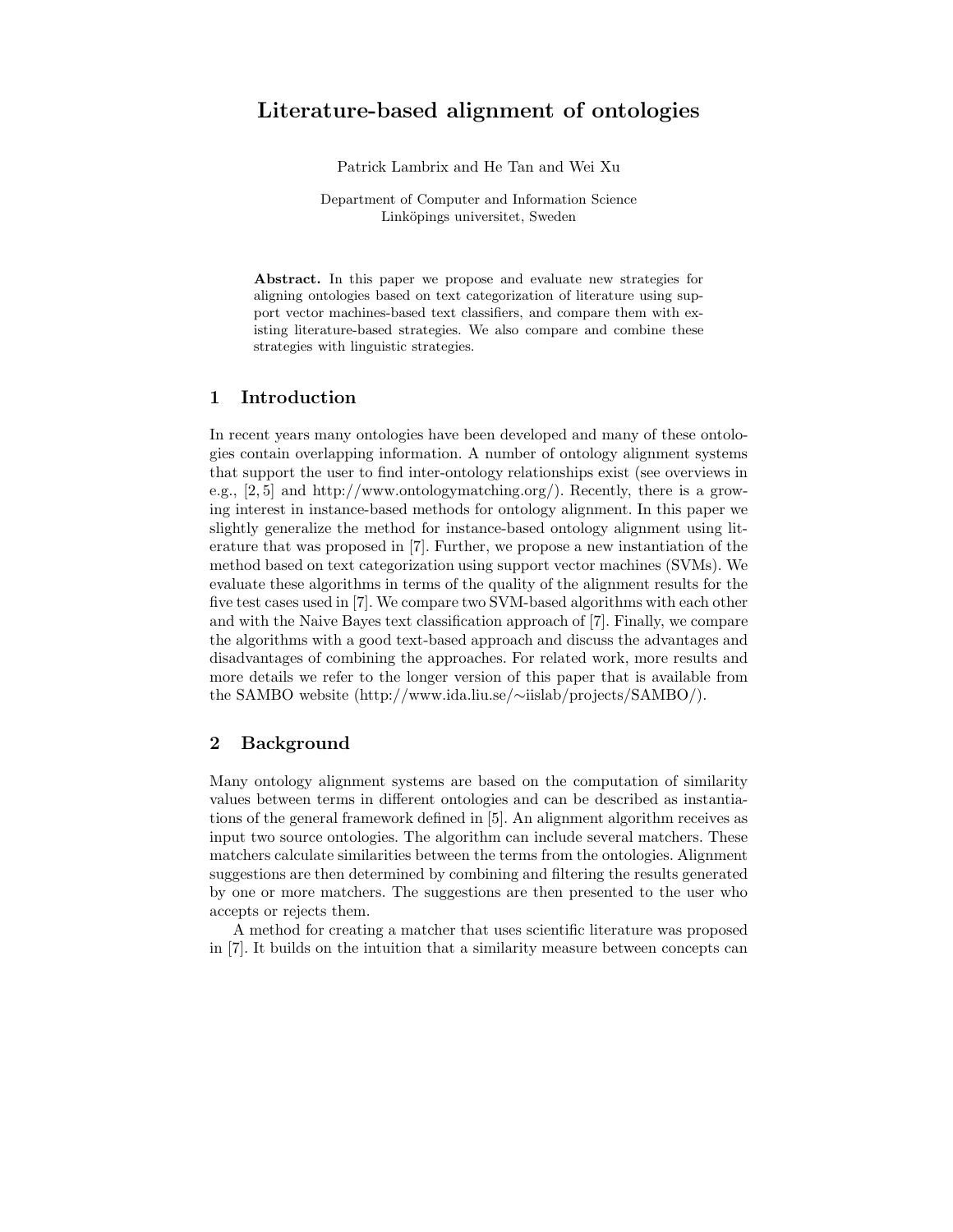# Literature-based alignment of ontologies

Patrick Lambrix and He Tan and Wei Xu

Department of Computer and Information Science Linköpings universitet, Sweden

Abstract. In this paper we propose and evaluate new strategies for aligning ontologies based on text categorization of literature using support vector machines-based text classifiers, and compare them with existing literature-based strategies. We also compare and combine these strategies with linguistic strategies.

## 1 Introduction

In recent years many ontologies have been developed and many of these ontologies contain overlapping information. A number of ontology alignment systems that support the user to find inter-ontology relationships exist (see overviews in e.g., [2, 5] and http://www.ontologymatching.org/). Recently, there is a growing interest in instance-based methods for ontology alignment. In this paper we slightly generalize the method for instance-based ontology alignment using literature that was proposed in [7]. Further, we propose a new instantiation of the method based on text categorization using support vector machines (SVMs). We evaluate these algorithms in terms of the quality of the alignment results for the five test cases used in [7]. We compare two SVM-based algorithms with each other and with the Naive Bayes text classification approach of [7]. Finally, we compare the algorithms with a good text-based approach and discuss the advantages and disadvantages of combining the approaches. For related work, more results and more details we refer to the longer version of this paper that is available from the SAMBO website (http://www.ida.liu.se/∼iislab/projects/SAMBO/).

# 2 Background

Many ontology alignment systems are based on the computation of similarity values between terms in different ontologies and can be described as instantiations of the general framework defined in [5]. An alignment algorithm receives as input two source ontologies. The algorithm can include several matchers. These matchers calculate similarities between the terms from the ontologies. Alignment suggestions are then determined by combining and filtering the results generated by one or more matchers. The suggestions are then presented to the user who accepts or rejects them.

A method for creating a matcher that uses scientific literature was proposed in [7]. It builds on the intuition that a similarity measure between concepts can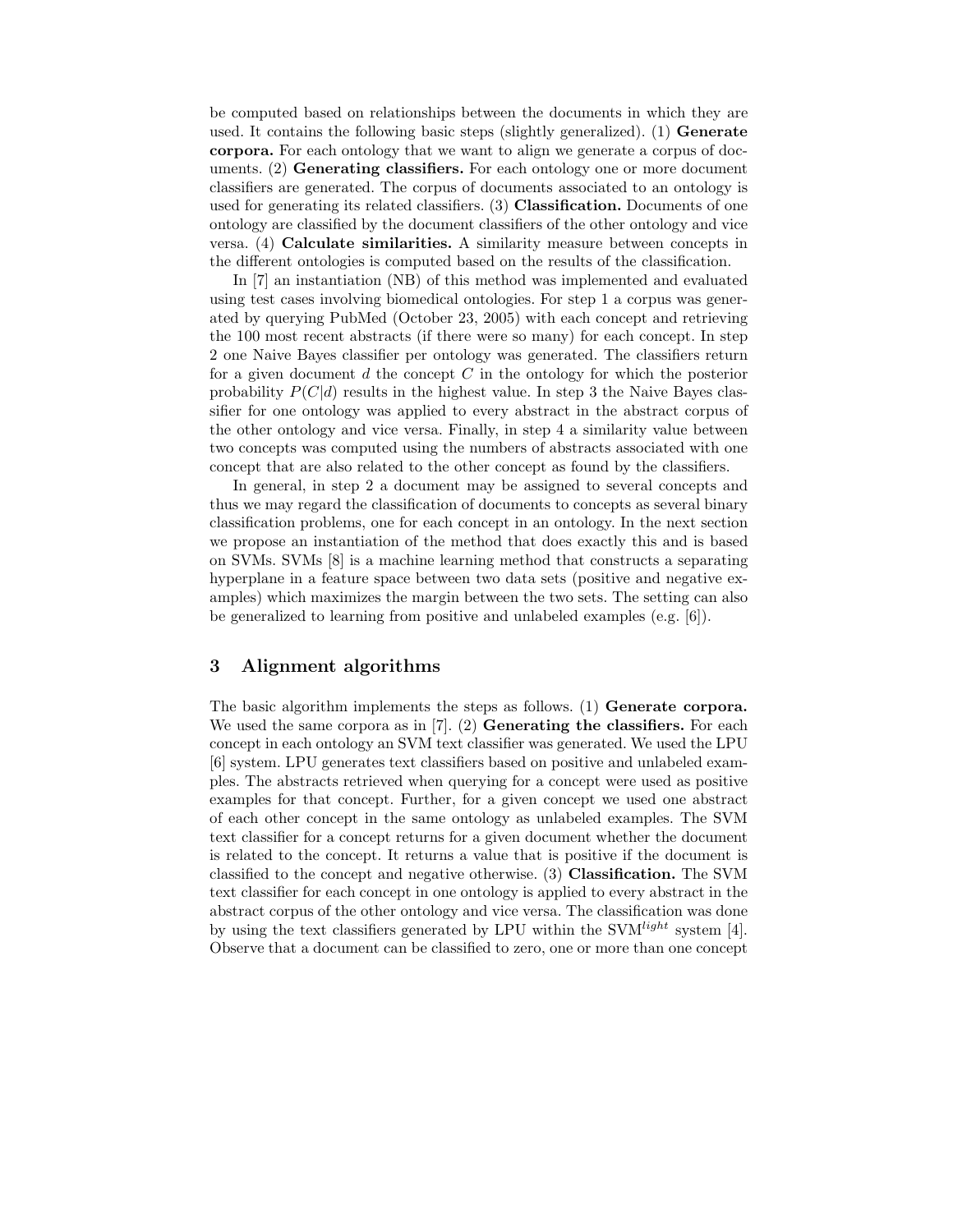be computed based on relationships between the documents in which they are used. It contains the following basic steps (slightly generalized). (1) Generate corpora. For each ontology that we want to align we generate a corpus of documents. (2) Generating classifiers. For each ontology one or more document classifiers are generated. The corpus of documents associated to an ontology is used for generating its related classifiers. (3) Classification. Documents of one ontology are classified by the document classifiers of the other ontology and vice versa. (4) Calculate similarities. A similarity measure between concepts in the different ontologies is computed based on the results of the classification.

In [7] an instantiation (NB) of this method was implemented and evaluated using test cases involving biomedical ontologies. For step 1 a corpus was generated by querying PubMed (October 23, 2005) with each concept and retrieving the 100 most recent abstracts (if there were so many) for each concept. In step 2 one Naive Bayes classifier per ontology was generated. The classifiers return for a given document  $d$  the concept  $C$  in the ontology for which the posterior probability  $P(C|d)$  results in the highest value. In step 3 the Naive Bayes classifier for one ontology was applied to every abstract in the abstract corpus of the other ontology and vice versa. Finally, in step 4 a similarity value between two concepts was computed using the numbers of abstracts associated with one concept that are also related to the other concept as found by the classifiers.

In general, in step 2 a document may be assigned to several concepts and thus we may regard the classification of documents to concepts as several binary classification problems, one for each concept in an ontology. In the next section we propose an instantiation of the method that does exactly this and is based on SVMs. SVMs [8] is a machine learning method that constructs a separating hyperplane in a feature space between two data sets (positive and negative examples) which maximizes the margin between the two sets. The setting can also be generalized to learning from positive and unlabeled examples (e.g. [6]).

## 3 Alignment algorithms

The basic algorithm implements the steps as follows. (1) Generate corpora. We used the same corpora as in [7]. (2) **Generating the classifiers.** For each concept in each ontology an SVM text classifier was generated. We used the LPU [6] system. LPU generates text classifiers based on positive and unlabeled examples. The abstracts retrieved when querying for a concept were used as positive examples for that concept. Further, for a given concept we used one abstract of each other concept in the same ontology as unlabeled examples. The SVM text classifier for a concept returns for a given document whether the document is related to the concept. It returns a value that is positive if the document is classified to the concept and negative otherwise. (3) Classification. The SVM text classifier for each concept in one ontology is applied to every abstract in the abstract corpus of the other ontology and vice versa. The classification was done by using the text classifiers generated by LPU within the SVM<sup> $light$ </sup> system [4]. Observe that a document can be classified to zero, one or more than one concept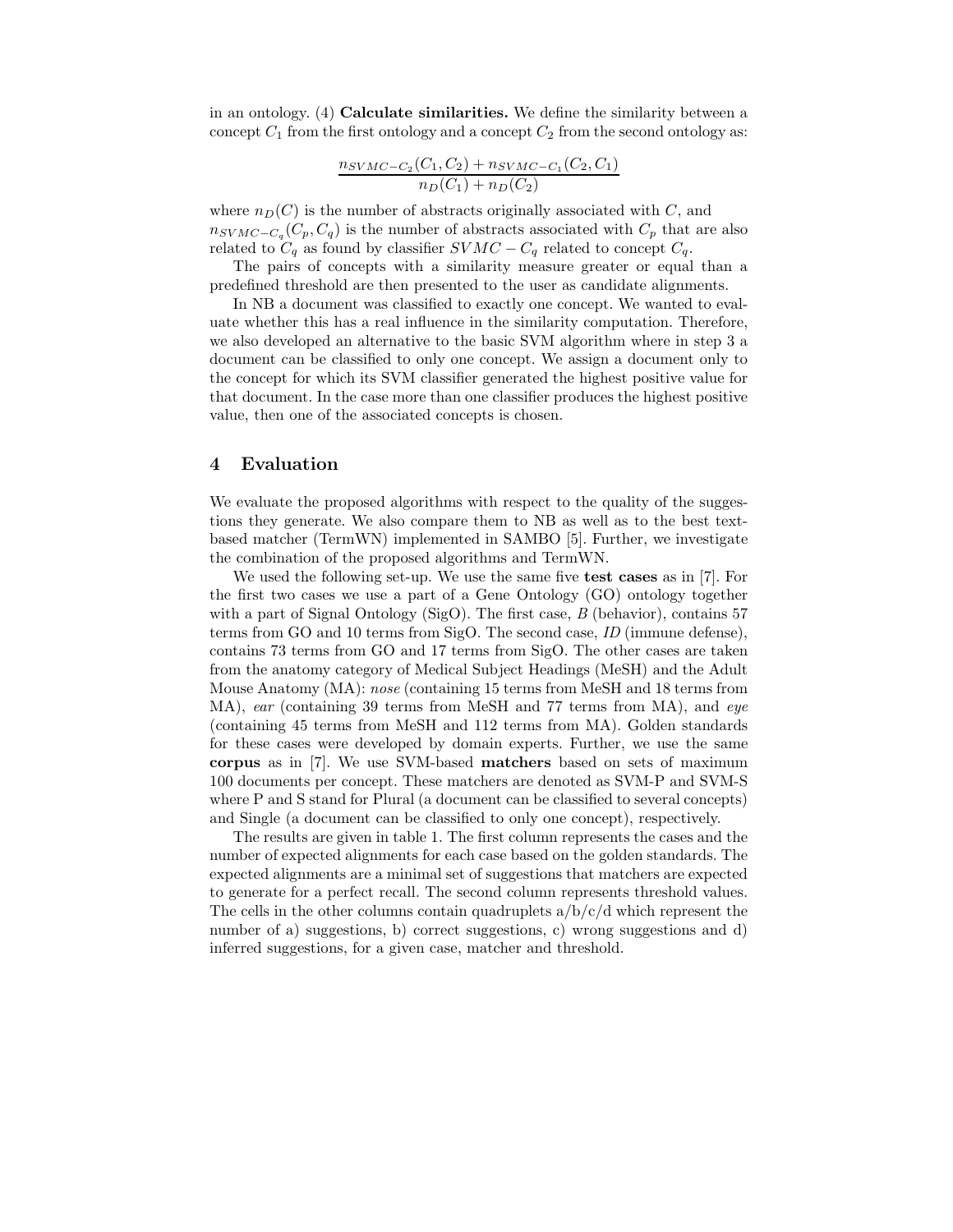in an ontology. (4) Calculate similarities. We define the similarity between a concept  $C_1$  from the first ontology and a concept  $C_2$  from the second ontology as:

$$
\frac{n_{SVMC-C_2}(C_1, C_2) + n_{SVMC-C_1}(C_2, C_1)}{n_D(C_1) + n_D(C_2)}
$$

where  $n_D(C)$  is the number of abstracts originally associated with C, and  $n_{SVMC-C_q}(C_p, C_q)$  is the number of abstracts associated with  $C_p$  that are also related to  $C_q$  as found by classifier  $SVMC - C_q$  related to concept  $C_q$ .

The pairs of concepts with a similarity measure greater or equal than a predefined threshold are then presented to the user as candidate alignments.

In NB a document was classified to exactly one concept. We wanted to evaluate whether this has a real influence in the similarity computation. Therefore, we also developed an alternative to the basic SVM algorithm where in step 3 a document can be classified to only one concept. We assign a document only to the concept for which its SVM classifier generated the highest positive value for that document. In the case more than one classifier produces the highest positive value, then one of the associated concepts is chosen.

#### 4 Evaluation

We evaluate the proposed algorithms with respect to the quality of the suggestions they generate. We also compare them to NB as well as to the best textbased matcher (TermWN) implemented in SAMBO [5]. Further, we investigate the combination of the proposed algorithms and TermWN.

We used the following set-up. We use the same five **test cases** as in [7]. For the first two cases we use a part of a Gene Ontology (GO) ontology together with a part of Signal Ontology (SigO). The first case,  $B$  (behavior), contains 57 terms from GO and 10 terms from SigO. The second case, ID (immune defense), contains 73 terms from GO and 17 terms from SigO. The other cases are taken from the anatomy category of Medical Subject Headings (MeSH) and the Adult Mouse Anatomy (MA): nose (containing 15 terms from MeSH and 18 terms from MA), ear (containing 39 terms from MeSH and 77 terms from MA), and eye (containing 45 terms from MeSH and 112 terms from MA). Golden standards for these cases were developed by domain experts. Further, we use the same corpus as in [7]. We use SVM-based matchers based on sets of maximum 100 documents per concept. These matchers are denoted as SVM-P and SVM-S where P and S stand for Plural (a document can be classified to several concepts) and Single (a document can be classified to only one concept), respectively.

The results are given in table 1. The first column represents the cases and the number of expected alignments for each case based on the golden standards. The expected alignments are a minimal set of suggestions that matchers are expected to generate for a perfect recall. The second column represents threshold values. The cells in the other columns contain quadruplets  $a/b/c/d$  which represent the number of a) suggestions, b) correct suggestions, c) wrong suggestions and d) inferred suggestions, for a given case, matcher and threshold.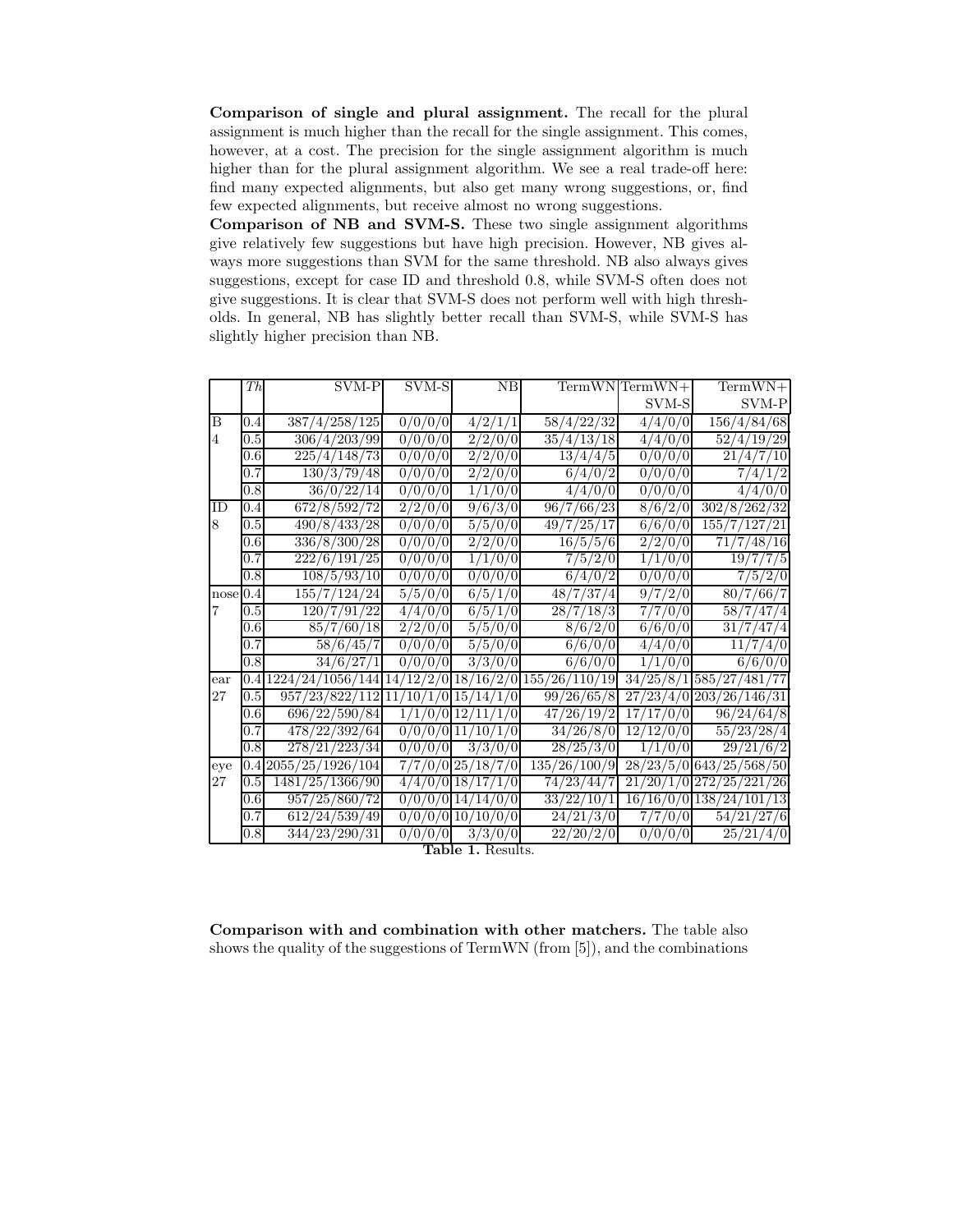Comparison of single and plural assignment. The recall for the plural assignment is much higher than the recall for the single assignment. This comes, however, at a cost. The precision for the single assignment algorithm is much higher than for the plural assignment algorithm. We see a real trade-off here: find many expected alignments, but also get many wrong suggestions, or, find few expected alignments, but receive almost no wrong suggestions.

Comparison of NB and SVM-S. These two single assignment algorithms give relatively few suggestions but have high precision. However, NB gives always more suggestions than SVM for the same threshold. NB also always gives suggestions, except for case ID and threshold 0.8, while SVM-S often does not give suggestions. It is clear that SVM-S does not perform well with high thresholds. In general, NB has slightly better recall than SVM-S, while SVM-S has slightly higher precision than NB.

|                | Th               | SVM-P                                                     | SVM-S               | NB                    |                                 | $TermWN TermWN +$ | $TermWN+$                 |
|----------------|------------------|-----------------------------------------------------------|---------------------|-----------------------|---------------------------------|-------------------|---------------------------|
|                |                  |                                                           |                     |                       |                                 | SVM-S             | SVM-P                     |
| B              | 0.4              | 387/4/258/125                                             | 0/0/0/0             | 4/2/1/1               | 58/4/22/32                      | 4/4/0/0           | 156/4/84/68               |
| $\overline{4}$ | 0.5              | 306/4/203/99                                              | 0/0/0/0             | 2/2/0/0               | 35/4/13/18                      | 4/4/0/0           | 52/4/19/29                |
|                | 0.6              | 225/4/148/73                                              | 0/0/0/0             | $\sqrt{2/2}/0/0$      | $\frac{13}{4}{/4}$              | 0/0/0/0           | $\sqrt{21}/4$<br>Ί0       |
|                | 0.7              | 130/3/79/48                                               | 0/0/0/0             | 2/2/0/0               | 6/4/0/2                         | 0/0/0/0           | 7/4/<br>$^{\prime}1/2$    |
|                | 0.8              | 36/0/22/14                                                | 0/0/0<br>(0)        | 1/1/0/0               | 4/4/0/0                         | 0/0/0/0           | 4/4/0/0                   |
| ID             | 0.4              | $\sqrt{672}/8/592/72$                                     | 2/2/0/0             | 9/6/3/0               | 96/7/66/23                      | 8/6/2/0           | 302/8/262/32              |
| 8              | 0.5              | 490/8/433/28                                              | $\frac{1}{0}/0/0/0$ | 5/5/0/0               | 49/7/25/17                      | 6/6/0/0           | $\frac{155}{7/127/21}$    |
|                | 0.6              | $\frac{336}{8} \cdot \frac{300}{28}$                      | 0/0/0/0             | 2/2/0/0               | 16/5/5/6                        | 2/2/0/0           | 7/48/<br>71<br>'16        |
|                | 0.7              | 222/6/191/25                                              | 0/0/0/0             | 1/1/0/0               | 7/5/2/0                         | 1/1/0/0           | 19/7<br>7/5               |
|                | 0.8              | 108/5/93/10                                               | 0/0/0/0             | 0/0/0/0               | 6/4/0/2                         | 0/0/0/0           | 7/5/2/0                   |
| nose 0.4       |                  | 155/7/124/24                                              | 5/5/0/0             | 6/5/1/0               | 48/7/37/4                       | 9/7/2/0           | 80/7/66/7                 |
| 7              | 0.5              | 120/7/91/22                                               | 4/4/0/0             | 6/5/1/0               | $\sqrt{28/7}/18/3$              | 7/7/0/0           | 58/7/47/4                 |
|                | 0.6              | 85/7/60/18                                                | 2/2/0/0             | 5/5/0/0               | 8/6/2/0                         | 6/6/0/0           | 31/<br>1477               |
|                | 0.7              | 58/6/45/7                                                 | 0/0/0/0             | $\sqrt{5/6/0}$        | 6/6/0/0                         | 4/4/0/0           | 11                        |
|                | 0.8              | 34/6/27/1                                                 | 0/0/0/0             | 3/3/0/0               | 6/6/0/0                         | 1/1/0/0           | 6/6/0/0                   |
| ear            |                  | $0.4 1224/24/1056/144 14/12/2/0 18/16/2/0 155/26/110/19 $ |                     |                       |                                 |                   | 34/25/8/1 585/27/481/77   |
| $27\,$         | 0.5              | $957/23/822/112$ 11/10/1/0 15/14/1/0                      |                     |                       | 99/26/65/8                      |                   | $27/23/4/0$ 203/26/146/31 |
|                | 0.6 <sub>l</sub> | 696/22/590/84                                             |                     | $1/1/0/0$ $12/11/1/0$ | 47/26/19/2                      | 17/17/0/0         | 96/24/64/8                |
|                | 0.7              | 478/22/392/64                                             |                     | $0/0/0/0$ 11/10/1/0   | 34/26/8/0                       | 12/12/0/0         | 55/23/28/4                |
|                | 0.8              | 278/21/223/34                                             | 0/0/0/0             | 3/3/0/0               | $\frac{28}{25}{\overline{3}}/0$ | 1/1/0/0           | $\sqrt{29}/21/6/2$        |
| eye            |                  | $0.4 20\overline{55}/25/1926/104$                         | 7/<br>φ.            | /0 25/18/7/0          | 135/26/100/9                    |                   | 28/23/5/0 643/25/568/50   |
| 27             | 0.5              | 1481/25/1366/90                                           |                     | $4/4/0/0$ $18/17/1/0$ | $\sqrt{74/23}/44/7$             |                   | $21/20/1/0$ 272/25/221/26 |
|                | 0.6              | 957/25/860/72                                             |                     | $0/0/0/0$ 14/14/0/0   | 33/22/10/1                      |                   | 16/16/0/0 138/24/101/13   |
|                | 0.7              | 612/24/539/49                                             |                     | $0/0/0/0$ 10/10/0/0   | 24/21/3/0                       | 7/7/0/0           | 54/21/27/6                |
|                | 0.8              | 344/23/290/31                                             | 0/0/0/0             | 3/3/0/0               | 22/20/2/0                       | 0/0/0/0           | $\sqrt{25}/21/4/0$        |

Table 1. Results.

Comparison with and combination with other matchers. The table also shows the quality of the suggestions of TermWN (from [5]), and the combinations